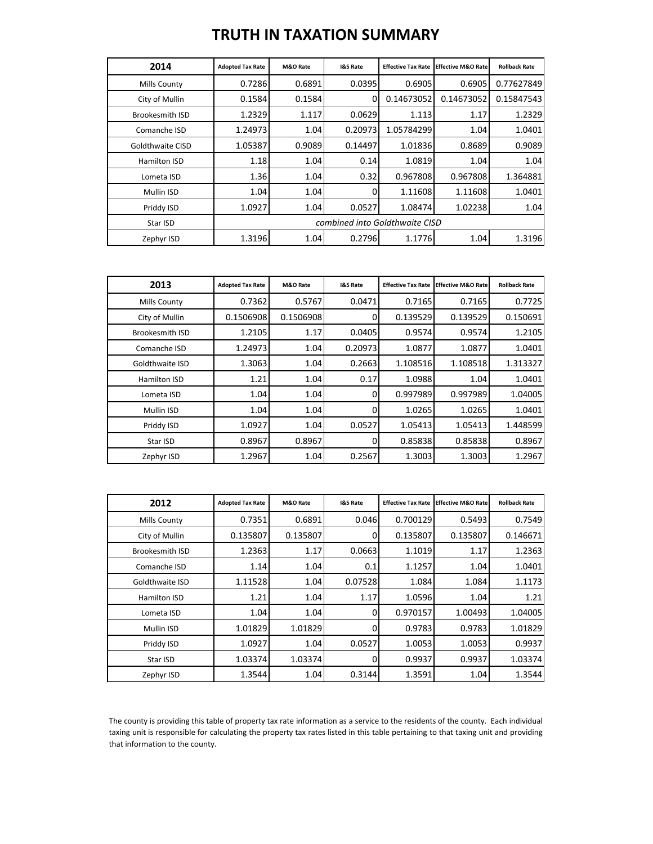## **TRUTH IN TAXATION SUMMARY**

| 2014                    | <b>Adopted Tax Rate</b>        | M&O Rate | <b>I&amp;S Rate</b> | <b>Effective Tax Rate</b> | <b>Effective M&amp;O Ratel</b> | <b>Rollback Rate</b> |
|-------------------------|--------------------------------|----------|---------------------|---------------------------|--------------------------------|----------------------|
| <b>Mills County</b>     | 0.7286                         | 0.6891   | 0.0395              | 0.6905                    | 0.6905                         | 0.77627849           |
| City of Mullin          | 0.1584                         | 0.1584   | 0                   | 0.14673052                | 0.14673052                     | 0.15847543           |
| Brookesmith ISD         | 1.2329                         | 1.117    | 0.0629              | 1.113                     | 1.17                           | 1.2329               |
| Comanche ISD            | 1.24973                        | 1.04     | 0.20973             | 1.05784299                | 1.04                           | 1.0401               |
| <b>Goldthwaite CISD</b> | 1.05387                        | 0.9089   | 0.14497             | 1.01836                   | 0.8689                         | 0.9089               |
| Hamilton ISD            | 1.18                           | 1.04     | 0.14                | 1.0819                    | 1.04                           | 1.04                 |
| Lometa ISD              | 1.36                           | 1.04     | 0.32                | 0.967808                  | 0.967808                       | 1.364881             |
| Mullin ISD              | 1.04                           | 1.04     | 0                   | 1.11608                   | 1.11608                        | 1.0401               |
| Priddy ISD              | 1.0927                         | 1.04     | 0.0527              | 1.08474                   | 1.02238                        | 1.04                 |
| Star ISD                | combined into Goldthwaite CISD |          |                     |                           |                                |                      |
| Zephyr ISD              | 1.3196                         | 1.04     | 0.2796              | 1.1776                    | 1.04                           | 1.3196               |

| 2013                   | <b>Adopted Tax Rate</b> | M&O Rate  | <b>I&amp;S Rate</b> | <b>Effective Tax Rate</b> | <b>Effective M&amp;O Rate</b> | <b>Rollback Rate</b> |
|------------------------|-------------------------|-----------|---------------------|---------------------------|-------------------------------|----------------------|
| Mills County           | 0.7362                  | 0.5767    | 0.0471              | 0.7165                    | 0.7165                        | 0.7725               |
| City of Mullin         | 0.1506908               | 0.1506908 |                     | 0.139529                  | 0.139529                      | 0.150691             |
| <b>Brookesmith ISD</b> | 1.2105                  | 1.17      | 0.0405              | 0.9574                    | 0.9574                        | 1.2105               |
| Comanche ISD           | 1.24973                 | 1.04      | 0.20973             | 1.0877                    | 1.0877                        | 1.0401               |
| Goldthwaite ISD        | 1.3063                  | 1.04      | 0.2663              | 1.108516                  | 1.108518                      | 1.313327             |
| Hamilton ISD           | 1.21                    | 1.04      | 0.17                | 1.0988                    | 1.04                          | 1.0401               |
| Lometa ISD             | 1.04                    | 1.04      | 0                   | 0.997989                  | 0.997989                      | 1.04005              |
| Mullin ISD             | 1.04                    | 1.04      | 0                   | 1.0265                    | 1.0265                        | 1.0401               |
| Priddy ISD             | 1.0927                  | 1.04      | 0.0527              | 1.05413                   | 1.05413                       | 1.448599             |
| Star ISD               | 0.8967                  | 0.8967    | 0                   | 0.85838                   | 0.85838                       | 0.8967               |
| Zephyr ISD             | 1.2967                  | 1.04      | 0.2567              | 1.3003                    | 1.3003                        | 1.2967               |

| 2012                   | <b>Adopted Tax Rate</b> | M&O Rate | <b>I&amp;S Rate</b> | <b>Effective Tax Rate</b> | <b>Effective M&amp;O Rate</b> | <b>Rollback Rate</b> |
|------------------------|-------------------------|----------|---------------------|---------------------------|-------------------------------|----------------------|
| <b>Mills County</b>    | 0.7351                  | 0.6891   | 0.046               | 0.700129                  | 0.5493                        | 0.7549               |
| City of Mullin         | 0.135807                | 0.135807 | 0                   | 0.135807                  | 0.135807                      | 0.146671             |
| <b>Brookesmith ISD</b> | 1.2363                  | 1.17     | 0.0663              | 1.1019                    | 1.17                          | 1.2363               |
| Comanche ISD           | 1.14                    | 1.04     | 0.1                 | 1.1257                    | 1.04                          | 1.0401               |
| Goldthwaite ISD        | 1.11528                 | 1.04     | 0.07528             | 1.084                     | 1.084                         | 1.1173               |
| Hamilton ISD           | 1.21                    | 1.04     | 1.17                | 1.0596                    | 1.04                          | 1.21                 |
| Lometa ISD             | 1.04                    | 1.04     | 0                   | 0.970157                  | 1.00493                       | 1.04005              |
| Mullin ISD             | 1.01829                 | 1.01829  | 0                   | 0.9783                    | 0.9783                        | 1.01829              |
| Priddy ISD             | 1.0927                  | 1.04     | 0.0527              | 1.0053                    | 1.0053                        | 0.9937               |
| Star ISD               | 1.03374                 | 1.03374  | 0                   | 0.9937                    | 0.9937                        | 1.03374              |
| Zephyr ISD             | 1.3544                  | 1.04     | 0.3144              | 1.3591                    | 1.04                          | 1.3544               |

The county is providing this table of property tax rate information as a service to the residents of the county. Each individual taxing unit is responsible for calculating the property tax rates listed in this table pertaining to that taxing unit and providing that information to the county.